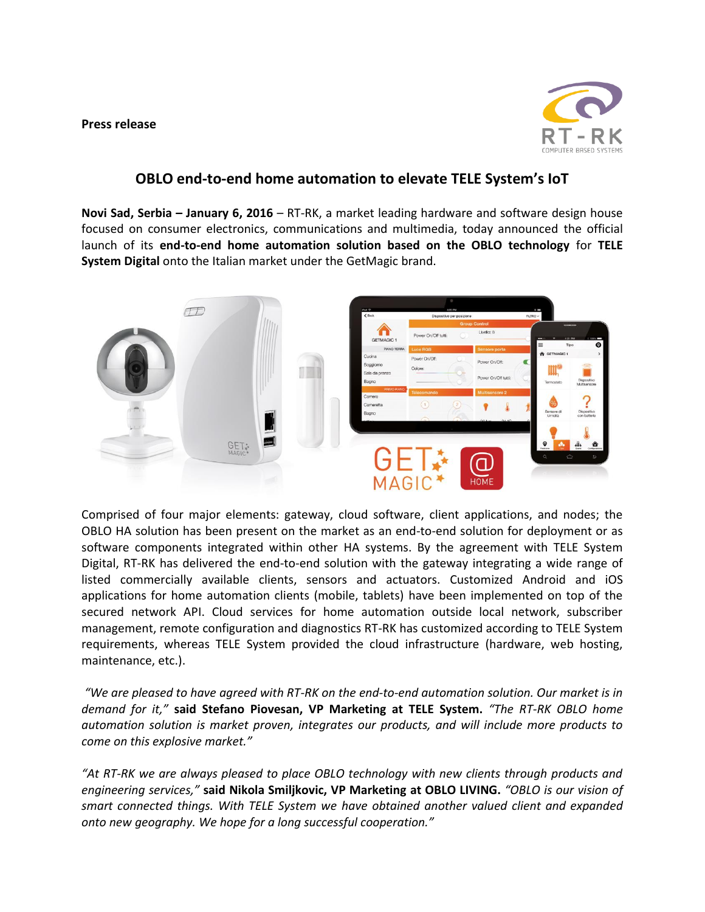**Press release**



## **OBLO end-to-end home automation to elevate TELE System's IoT**

**Novi Sad, Serbia – January 6, 2016** – RT-RK, a market leading hardware and software design house focused on consumer electronics, communications and multimedia, today announced the official launch of its **end-to-end home automation solution based on the OBLO technology** for **TELE System Digital** onto the Italian market under the GetMagic brand.



Comprised of four major elements: gateway, cloud software, client applications, and nodes; the OBLO HA solution has been present on the market as an end-to-end solution for deployment or as software components integrated within other HA systems. By the agreement with TELE System Digital, RT-RK has delivered the end-to-end solution with the gateway integrating a wide range of listed commercially available clients, sensors and actuators. Customized Android and iOS applications for home automation clients (mobile, tablets) have been implemented on top of the secured network API. Cloud services for home automation outside local network, subscriber management, remote configuration and diagnostics RT-RK has customized according to TELE System requirements, whereas TELE System provided the cloud infrastructure (hardware, web hosting, maintenance, etc.).

*"We are pleased to have agreed with RT-RK on the end-to-end automation solution. Our market is in demand for it,"* **said Stefano Piovesan, VP Marketing at TELE System.** *"The RT-RK OBLO home automation solution is market proven, integrates our products, and will include more products to come on this explosive market."*

*"At RT-RK we are always pleased to place OBLO technology with new clients through products and engineering services,"* **said Nikola Smiljkovic, VP Marketing at OBLO LIVING.** *"OBLO is our vision of smart connected things. With TELE System we have obtained another valued client and expanded onto new geography. We hope for a long successful cooperation."*